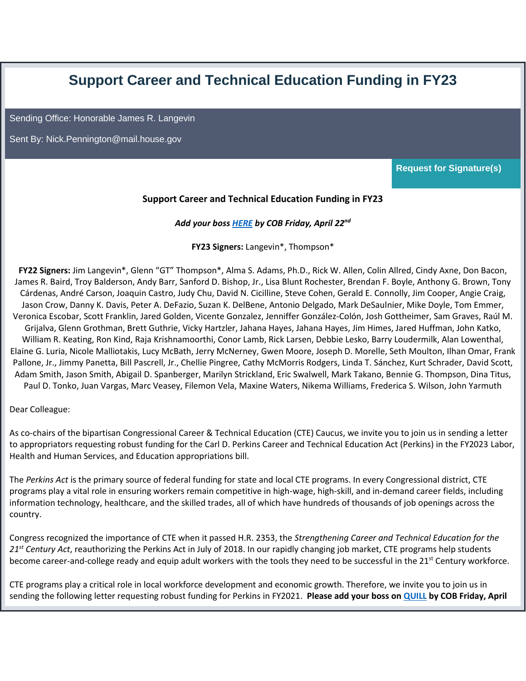## **Support Career and Technical Education Funding in FY23**

Sending Office: Honorable James R. Langevin

Sent By: [Nick.Pennington@mail.house.gov](mailto:%20Nick.Pennington@mail.house.gov)

**Request for Signature(s)**

## **Support Career and Technical Education Funding in FY23**

*Add your boss [HERE](https://nam10.safelinks.protection.outlook.com/?url=https%3A%2F%2Fquill.senate.gov%2Fletters%2Fletter%2F2885%2Fopt-in%2Fview%2Fb327e82f-bec6-4e17-ba44-7ffe22f52b34%2F&data=04%7C01%7Cjhouck%40acteonline.org%7C9f1004ec29db465db16408da198a57b7%7Caa073e65c80e4bc7964cb85c6efc1992%7C0%7C0%7C637850379226008834%7CUnknown%7CTWFpbGZsb3d8eyJWIjoiMC4wLjAwMDAiLCJQIjoiV2luMzIiLCJBTiI6Ik1haWwiLCJXVCI6Mn0%3D%7C3000&sdata=sqXErAmadixZaVepcJ4udWOZmN2MACmlpfSSV1mCgRs%3D&reserved=0) by COB Friday, April 22nd*

**FY23 Signers:** Langevin\*, Thompson\*

**FY22 Signers:** Jim Langevin\*, Glenn "GT" Thompson\*, Alma S. Adams, Ph.D., Rick W. Allen, Colin Allred, Cindy Axne, Don Bacon, James R. Baird, Troy Balderson, Andy Barr, Sanford D. Bishop, Jr., Lisa Blunt Rochester, Brendan F. Boyle, Anthony G. Brown, Tony Cárdenas, André Carson, Joaquin Castro, Judy Chu, David N. Cicilline, Steve Cohen, Gerald E. Connolly, Jim Cooper, Angie Craig, Jason Crow, Danny K. Davis, Peter A. DeFazio, Suzan K. DelBene, Antonio Delgado, Mark DeSaulnier, Mike Doyle, Tom Emmer, Veronica Escobar, Scott Franklin, Jared Golden, Vicente Gonzalez, Jenniffer González-Colón, Josh Gottheimer, Sam Graves, Raúl M. Grijalva, Glenn Grothman, Brett Guthrie, Vicky Hartzler, Jahana Hayes, Jahana Hayes, Jim Himes, Jared Huffman, John Katko, William R. Keating, Ron Kind, Raja Krishnamoorthi, Conor Lamb, Rick Larsen, Debbie Lesko, Barry Loudermilk, Alan Lowenthal, Elaine G. Luria, Nicole Malliotakis, Lucy McBath, Jerry McNerney, Gwen Moore, Joseph D. Morelle, Seth Moulton, Ilhan Omar, Frank Pallone, Jr., Jimmy Panetta, Bill Pascrell, Jr., Chellie Pingree, Cathy McMorris Rodgers, Linda T. Sánchez, Kurt Schrader, David Scott, Adam Smith, Jason Smith, Abigail D. Spanberger, Marilyn Strickland, Eric Swalwell, Mark Takano, Bennie G. Thompson, Dina Titus, Paul D. Tonko, Juan Vargas, Marc Veasey, Filemon Vela, Maxine Waters, Nikema Williams, Frederica S. Wilson, John Yarmuth

Dear Colleague:

As co-chairs of the bipartisan Congressional Career & Technical Education (CTE) Caucus, we invite you to join us in sending a letter to appropriators requesting robust funding for the Carl D. Perkins Career and Technical Education Act (Perkins) in the FY2023 Labor, Health and Human Services, and Education appropriations bill.

The *Perkins Act* is the primary source of federal funding for state and local CTE programs. In every Congressional district, CTE programs play a vital role in ensuring workers remain competitive in high-wage, high-skill, and in-demand career fields, including information technology, healthcare, and the skilled trades, all of which have hundreds of thousands of job openings across the country.

Congress recognized the importance of CTE when it passed H.R. 2353, the *Strengthening Career and Technical Education for the 21st Century Act*, reauthorizing the Perkins Act in July of 2018. In our rapidly changing job market, CTE programs help students become career-and-college ready and equip adult workers with the tools they need to be successful in the 21<sup>st</sup> Century workforce.

CTE programs play a critical role in local workforce development and economic growth. Therefore, we invite you to join us in sending the following letter requesting robust funding for Perkins in FY2021. **Please add your boss on [QUILL](https://nam10.safelinks.protection.outlook.com/?url=https%3A%2F%2Fquill.senate.gov%2Fletters%2Fletter%2F2885%2Fopt-in%2Fview%2Fb327e82f-bec6-4e17-ba44-7ffe22f52b34%2F&data=04%7C01%7Cjhouck%40acteonline.org%7C9f1004ec29db465db16408da198a57b7%7Caa073e65c80e4bc7964cb85c6efc1992%7C0%7C0%7C637850379226008834%7CUnknown%7CTWFpbGZsb3d8eyJWIjoiMC4wLjAwMDAiLCJQIjoiV2luMzIiLCJBTiI6Ik1haWwiLCJXVCI6Mn0%3D%7C3000&sdata=sqXErAmadixZaVepcJ4udWOZmN2MACmlpfSSV1mCgRs%3D&reserved=0) by COB Friday, April**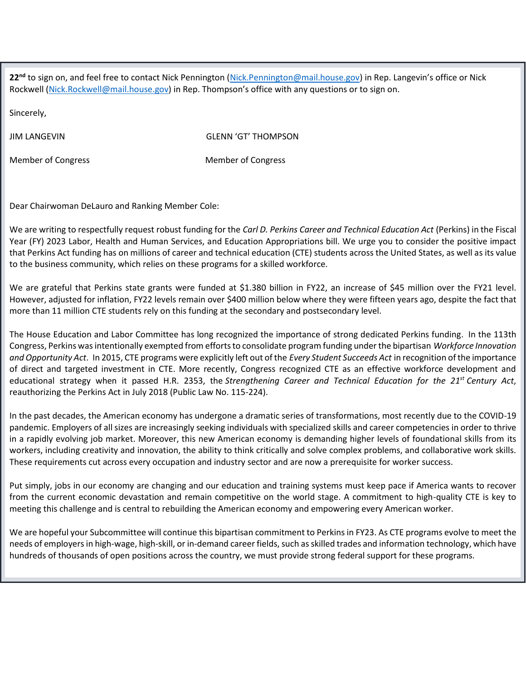**22 nd** to sign on, and feel free to contact Nick Pennington [\(Nick.Pennington@mail.house.gov](mailto:Nick.Pennington@mail.house.gov)) in Rep. Langevin's office or Nick Rockwell [\(Nick.Rockwell@mail.house.gov](mailto:Nick.Rockwell@mail.house.gov)) in Rep. Thompson's office with any questions or to sign on.

Sincerely,

JIM LANGEVIN GLENN 'GT' THOMPSON

Member of Congress Member of Congress

Dear Chairwoman DeLauro and Ranking Member Cole:

We are writing to respectfully request robust funding for the *Carl D. Perkins Career and Technical Education Act* (Perkins) in the Fiscal Year (FY) 2023 Labor, Health and Human Services, and Education Appropriations bill. We urge you to consider the positive impact that Perkins Act funding has on millions of career and technical education (CTE) students across the United States, as well as its value to the business community, which relies on these programs for a skilled workforce.

We are grateful that Perkins state grants were funded at \$1.380 billion in FY22, an increase of \$45 million over the FY21 level. However, adjusted for inflation, FY22 levels remain over \$400 million below where they were fifteen years ago, despite the fact that more than 11 million CTE students rely on this funding at the secondary and postsecondary level.

The House Education and Labor Committee has long recognized the importance of strong dedicated Perkins funding. In the 113th Congress, Perkins was intentionally exempted from efforts to consolidate program funding under the bipartisan *Workforce Innovation and Opportunity Act*. In 2015, CTE programs were explicitly left out of the *Every Student Succeeds Act* in recognition of the importance of direct and targeted investment in CTE. More recently, Congress recognized CTE as an effective workforce development and educational strategy when it passed H.R. 2353, the *Strengthening Career and Technical Education for the 21st Century Act*, reauthorizing the Perkins Act in July 2018 (Public Law No. 115-224).

In the past decades, the American economy has undergone a dramatic series of transformations, most recently due to the COVID-19 pandemic. Employers of all sizes are increasingly seeking individuals with specialized skills and career competencies in order to thrive in a rapidly evolving job market. Moreover, this new American economy is demanding higher levels of foundational skills from its workers, including creativity and innovation, the ability to think critically and solve complex problems, and collaborative work skills. These requirements cut across every occupation and industry sector and are now a prerequisite for worker success.

Put simply, jobs in our economy are changing and our education and training systems must keep pace if America wants to recover from the current economic devastation and remain competitive on the world stage. A commitment to high-quality CTE is key to meeting this challenge and is central to rebuilding the American economy and empowering every American worker.

We are hopeful your Subcommittee will continue this bipartisan commitment to Perkins in FY23. As CTE programs evolve to meet the needs of employers in high-wage, high-skill, or in-demand career fields, such as skilled trades and information technology, which have hundreds of thousands of open positions across the country, we must provide strong federal support for these programs.